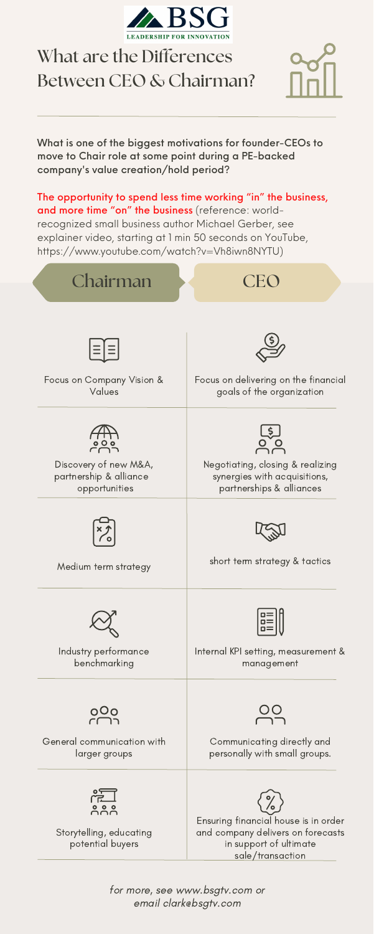

## What are the Differences Between CEO & Chairman?



What is one of the biggest motivations for founder-CEOs to move to Chair role at some point during a PE-backed company's value creation/hold period?

The opportunity to spend less time working "in" the business, and more time "on" the business (reference: worldrecognized small business author Michael Gerber, see explainer video, starting at 1 min 50 seconds on YouTube, https://www.youtube.com/watch?v=Vh8iwn8NYTU)



| Medium term strategy                               | short term strategy & tactics                                                                                           |
|----------------------------------------------------|-------------------------------------------------------------------------------------------------------------------------|
| Industry performance<br>benchmarking               | <b>Fill</b><br>Internal KPI setting, measurement &<br>management                                                        |
| 000<br>General communication with<br>larger groups | Communicating directly and<br>personally with small groups.                                                             |
| Storytelling, educating<br>potential buyers        | Ensuring financial house is in order<br>and company delivers on forecasts<br>in support of ultimate<br>sale/transaction |

for more, see www.bsgtv.com or email clark@bsgtv.com